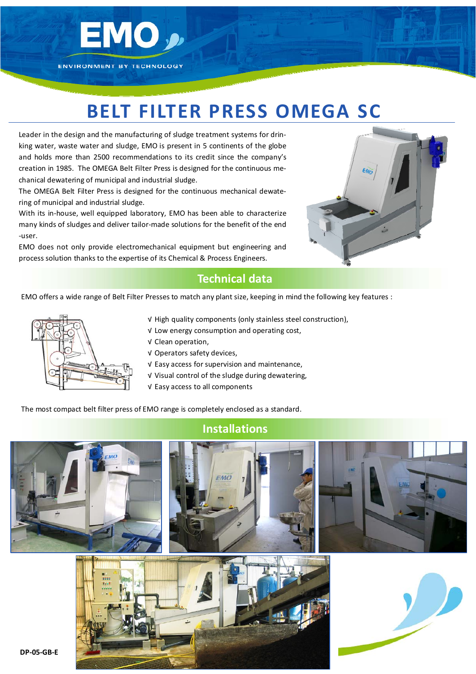

## **BELT FILTER PRESS OMEGA SC**

Leader in the design and the manufacturing of sludge treatment systems for drin‐ king water, waste water and sludge, EMO is present in 5 continents of the globe and holds more than 2500 recommendations to its credit since the company's creation in 1985. The OMEGA Belt Filter Press is designed for the continuous me‐ chanical dewatering of municipal and industrial sludge.

The OMEGA Belt Filter Press is designed for the continuous mechanical dewate‐ ring of municipal and industrial sludge.

With its in‐house, well equipped laboratory, EMO has been able to characterize many kinds of sludges and deliver tailor-made solutions for the benefit of the end ‐user.

EMO does not only provide electromechanical equipment but engineering and process solution thanks to the expertise of its Chemical & Process Engineers.



## **Technical data**

EMO offers a wide range of Belt Filter Presses to match any plant size, keeping in mind the following key features :



- √ High quality components (only stainless steel construction),
- √ Low energy consumption and operating cost,
- √ Clean operation,
- √ Operators safety devices,
- √ Easy access for supervision and maintenance,
- √ Visual control of the sludge during dewatering,
	- √ Easy access to all components

The most compact belt filter press of EMO range is completely enclosed as a standard.